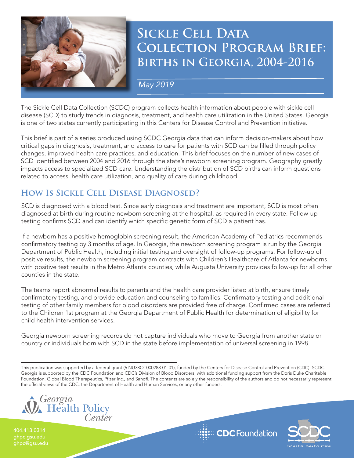

# **Sickle Cell Data Collection Program Brief: Births in Georgia, 2004-2016**

*May 2019*

The Sickle Cell Data Collection (SCDC) program collects health information about people with sickle cell disease (SCD) to study trends in diagnosis, treatment, and health care utilization in the United States. Georgia is one of two states currently participating in this Centers for Disease Control and Prevention initiative.

This brief is part of a series produced using SCDC Georgia data that can inform decision-makers about how critical gaps in diagnosis, treatment, and access to care for patients with SCD can be filled through policy changes, improved health care practices, and education. This brief focuses on the number of new cases of SCD identified between 2004 and 2016 through the state's newborn screening program. Geography greatly impacts access to specialized SCD care. Understanding the distribution of SCD births can inform questions related to access, health care utilization, and quality of care during childhood.

## **How Is Sickle Cell Disease Diagnosed?**

SCD is diagnosed with a blood test. Since early diagnosis and treatment are important, SCD is most often diagnosed at birth during routine newborn screening at the hospital, as required in every state. Follow-up testing confirms SCD and can identify which specific genetic form of SCD a patient has.

If a newborn has a positive hemoglobin screening result, the American Academy of Pediatrics recommends confirmatory testing by 3 months of age. In Georgia, the newborn screening program is run by the Georgia Department of Public Health, including initial testing and oversight of follow-up programs. For follow-up of positive results, the newborn screening program contracts with Children's Healthcare of Atlanta for newborns with positive test results in the Metro Atlanta counties, while Augusta University provides follow-up for all other counties in the state.

The teams report abnormal results to parents and the health care provider listed at birth, ensure timely confirmatory testing, and provide education and counseling to families. Confirmatory testing and additional testing of other family members for blood disorders are provided free of charge. Confirmed cases are referred to the Children 1st program at the Georgia Department of Public Health for determination of eligibility for child health intervention services.

Georgia newborn screening records do not capture individuals who move to Georgia from another state or country or individuals born with SCD in the state before implementation of universal screening in 1998.

This publication was supported by a federal grant (6 NU38OT000288-01-01), funded by the Centers for Disease Control and Prevention (CDC). SCDC Georgia is supported by the CDC Foundation and CDC's Division of Blood Disorders, with additional funding support from the Doris Duke Charitable Foundation, Global Blood Therapeutics, Pfizer Inc., and Sanofi. The contents are solely the responsibility of the authors and do not necessarily represent the official views of the CDC, the Department of Health and Human Services, or any other funders.



ghpc.gsu.edu